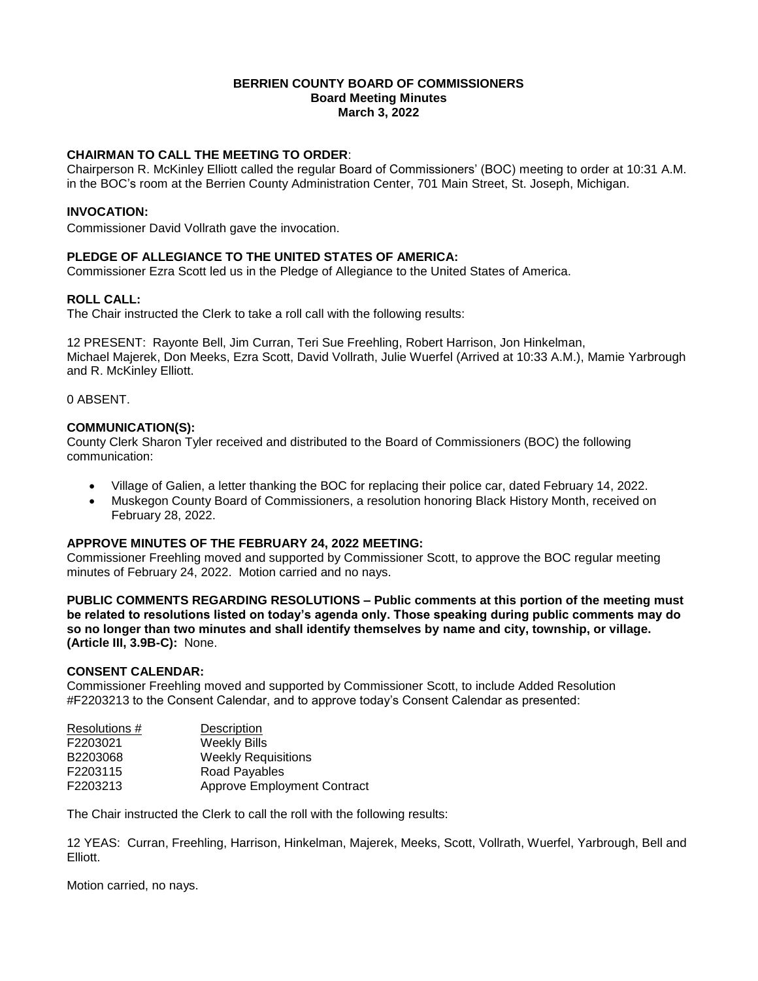### **BERRIEN COUNTY BOARD OF COMMISSIONERS Board Meeting Minutes March 3, 2022**

# **CHAIRMAN TO CALL THE MEETING TO ORDER**:

Chairperson R. McKinley Elliott called the regular Board of Commissioners' (BOC) meeting to order at 10:31 A.M. in the BOC's room at the Berrien County Administration Center, 701 Main Street, St. Joseph, Michigan.

## **INVOCATION:**

Commissioner David Vollrath gave the invocation.

## **PLEDGE OF ALLEGIANCE TO THE UNITED STATES OF AMERICA:**

Commissioner Ezra Scott led us in the Pledge of Allegiance to the United States of America.

### **ROLL CALL:**

The Chair instructed the Clerk to take a roll call with the following results:

12 PRESENT: Rayonte Bell, Jim Curran, Teri Sue Freehling, Robert Harrison, Jon Hinkelman, Michael Majerek, Don Meeks, Ezra Scott, David Vollrath, Julie Wuerfel (Arrived at 10:33 A.M.), Mamie Yarbrough and R. McKinley Elliott.

0 ABSENT.

### **COMMUNICATION(S):**

County Clerk Sharon Tyler received and distributed to the Board of Commissioners (BOC) the following communication:

- Village of Galien, a letter thanking the BOC for replacing their police car, dated February 14, 2022.
- Muskegon County Board of Commissioners, a resolution honoring Black History Month, received on February 28, 2022.

#### **APPROVE MINUTES OF THE FEBRUARY 24, 2022 MEETING:**

Commissioner Freehling moved and supported by Commissioner Scott, to approve the BOC regular meeting minutes of February 24, 2022. Motion carried and no nays.

**PUBLIC COMMENTS REGARDING RESOLUTIONS – Public comments at this portion of the meeting must be related to resolutions listed on today's agenda only. Those speaking during public comments may do so no longer than two minutes and shall identify themselves by name and city, township, or village. (Article III, 3.9B-C):** None.

## **CONSENT CALENDAR:**

Commissioner Freehling moved and supported by Commissioner Scott, to include Added Resolution #F2203213 to the Consent Calendar, and to approve today's Consent Calendar as presented:

| Resolutions # | Description                        |
|---------------|------------------------------------|
| F2203021      | <b>Weekly Bills</b>                |
| B2203068      | <b>Weekly Requisitions</b>         |
| F2203115      | Road Payables                      |
| F2203213      | <b>Approve Employment Contract</b> |

The Chair instructed the Clerk to call the roll with the following results:

12 YEAS: Curran, Freehling, Harrison, Hinkelman, Majerek, Meeks, Scott, Vollrath, Wuerfel, Yarbrough, Bell and Elliott.

Motion carried, no nays.